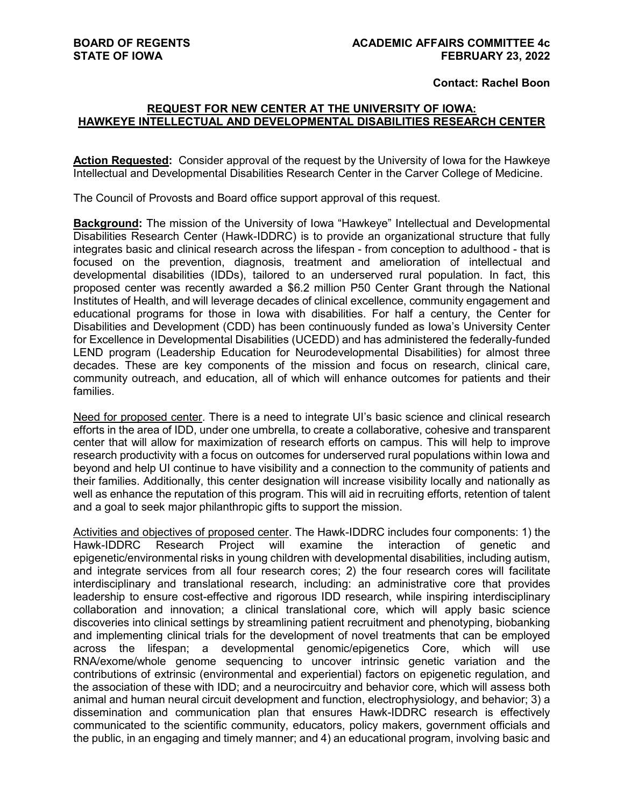**Contact: Rachel Boon**

#### **REQUEST FOR NEW CENTER AT THE UNIVERSITY OF IOWA: HAWKEYE INTELLECTUAL AND DEVELOPMENTAL DISABILITIES RESEARCH CENTER**

**Action Requested:** Consider approval of the request by the University of Iowa for the Hawkeye Intellectual and Developmental Disabilities Research Center in the Carver College of Medicine.

The Council of Provosts and Board office support approval of this request.

**Background:** The mission of the University of Iowa "Hawkeye" Intellectual and Developmental Disabilities Research Center (Hawk-IDDRC) is to provide an organizational structure that fully integrates basic and clinical research across the lifespan - from conception to adulthood - that is focused on the prevention, diagnosis, treatment and amelioration of intellectual and developmental disabilities (IDDs), tailored to an underserved rural population. In fact, this proposed center was recently awarded a \$6.2 million P50 Center Grant through the National Institutes of Health, and will leverage decades of clinical excellence, community engagement and educational programs for those in Iowa with disabilities. For half a century, the Center for Disabilities and Development (CDD) has been continuously funded as Iowa's University Center for Excellence in Developmental Disabilities (UCEDD) and has administered the federally-funded LEND program (Leadership Education for Neurodevelopmental Disabilities) for almost three decades. These are key components of the mission and focus on research, clinical care, community outreach, and education, all of which will enhance outcomes for patients and their families.

Need for proposed center. There is a need to integrate UI's basic science and clinical research efforts in the area of IDD, under one umbrella, to create a collaborative, cohesive and transparent center that will allow for maximization of research efforts on campus. This will help to improve research productivity with a focus on outcomes for underserved rural populations within Iowa and beyond and help UI continue to have visibility and a connection to the community of patients and their families. Additionally, this center designation will increase visibility locally and nationally as well as enhance the reputation of this program. This will aid in recruiting efforts, retention of talent and a goal to seek major philanthropic gifts to support the mission.

Activities and objectives of proposed center. The Hawk-IDDRC includes four components: 1) the<br>Hawk-IDDRC Research Project will examine the interaction of genetic and of genetic and epigenetic/environmental risks in young children with developmental disabilities, including autism, and integrate services from all four research cores; 2) the four research cores will facilitate interdisciplinary and translational research, including: an administrative core that provides leadership to ensure cost-effective and rigorous IDD research, while inspiring interdisciplinary collaboration and innovation; a clinical translational core, which will apply basic science discoveries into clinical settings by streamlining patient recruitment and phenotyping, biobanking and implementing clinical trials for the development of novel treatments that can be employed across the lifespan; a developmental genomic/epigenetics Core, which will use RNA/exome/whole genome sequencing to uncover intrinsic genetic variation and the contributions of extrinsic (environmental and experiential) factors on epigenetic regulation, and the association of these with IDD; and a neurocircuitry and behavior core, which will assess both animal and human neural circuit development and function, electrophysiology, and behavior; 3) a dissemination and communication plan that ensures Hawk-IDDRC research is effectively communicated to the scientific community, educators, policy makers, government officials and the public, in an engaging and timely manner; and 4) an educational program, involving basic and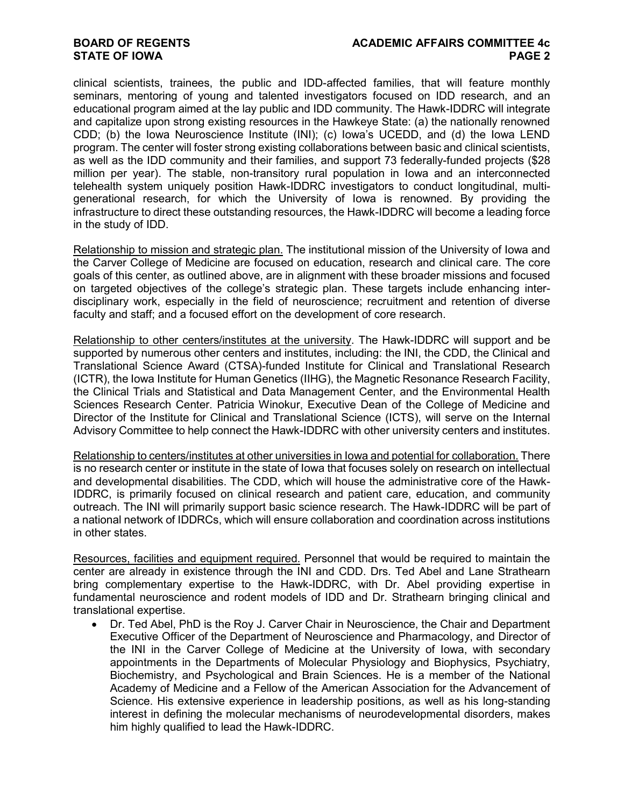# **STATE OF IOWA**

clinical scientists, trainees, the public and IDD-affected families, that will feature monthly seminars, mentoring of young and talented investigators focused on IDD research, and an educational program aimed at the lay public and IDD community. The Hawk-IDDRC will integrate and capitalize upon strong existing resources in the Hawkeye State: (a) the nationally renowned CDD; (b) the Iowa Neuroscience Institute (INI); (c) Iowa's UCEDD, and (d) the Iowa LEND program. The center will foster strong existing collaborations between basic and clinical scientists, as well as the IDD community and their families, and support 73 federally-funded projects (\$28 million per year). The stable, non-transitory rural population in Iowa and an interconnected telehealth system uniquely position Hawk-IDDRC investigators to conduct longitudinal, multigenerational research, for which the University of Iowa is renowned. By providing the infrastructure to direct these outstanding resources, the Hawk-IDDRC will become a leading force in the study of IDD.

Relationship to mission and strategic plan. The institutional mission of the University of Iowa and the Carver College of Medicine are focused on education, research and clinical care. The core goals of this center, as outlined above, are in alignment with these broader missions and focused on targeted objectives of the college's strategic plan. These targets include enhancing interdisciplinary work, especially in the field of neuroscience; recruitment and retention of diverse faculty and staff; and a focused effort on the development of core research.

Relationship to other centers/institutes at the university. The Hawk-IDDRC will support and be supported by numerous other centers and institutes, including: the INI, the CDD, the Clinical and Translational Science Award (CTSA)-funded Institute for Clinical and Translational Research (ICTR), the Iowa Institute for Human Genetics (IIHG), the Magnetic Resonance Research Facility, the Clinical Trials and Statistical and Data Management Center, and the Environmental Health Sciences Research Center. Patricia Winokur, Executive Dean of the College of Medicine and Director of the Institute for Clinical and Translational Science (ICTS), will serve on the Internal Advisory Committee to help connect the Hawk-IDDRC with other university centers and institutes.

Relationship to centers/institutes at other universities in Iowa and potential for collaboration. There is no research center or institute in the state of Iowa that focuses solely on research on intellectual and developmental disabilities. The CDD, which will house the administrative core of the Hawk-IDDRC, is primarily focused on clinical research and patient care, education, and community outreach. The INI will primarily support basic science research. The Hawk-IDDRC will be part of a national network of IDDRCs, which will ensure collaboration and coordination across institutions in other states.

Resources, facilities and equipment required. Personnel that would be required to maintain the center are already in existence through the INI and CDD. Drs. Ted Abel and Lane Strathearn bring complementary expertise to the Hawk-IDDRC, with Dr. Abel providing expertise in fundamental neuroscience and rodent models of IDD and Dr. Strathearn bringing clinical and translational expertise.

• Dr. Ted Abel, PhD is the Roy J. Carver Chair in Neuroscience, the Chair and Department Executive Officer of the Department of Neuroscience and Pharmacology, and Director of the INI in the Carver College of Medicine at the University of Iowa, with secondary appointments in the Departments of Molecular Physiology and Biophysics, Psychiatry, Biochemistry, and Psychological and Brain Sciences. He is a member of the National Academy of Medicine and a Fellow of the American Association for the Advancement of Science. His extensive experience in leadership positions, as well as his long-standing interest in defining the molecular mechanisms of neurodevelopmental disorders, makes him highly qualified to lead the Hawk-IDDRC.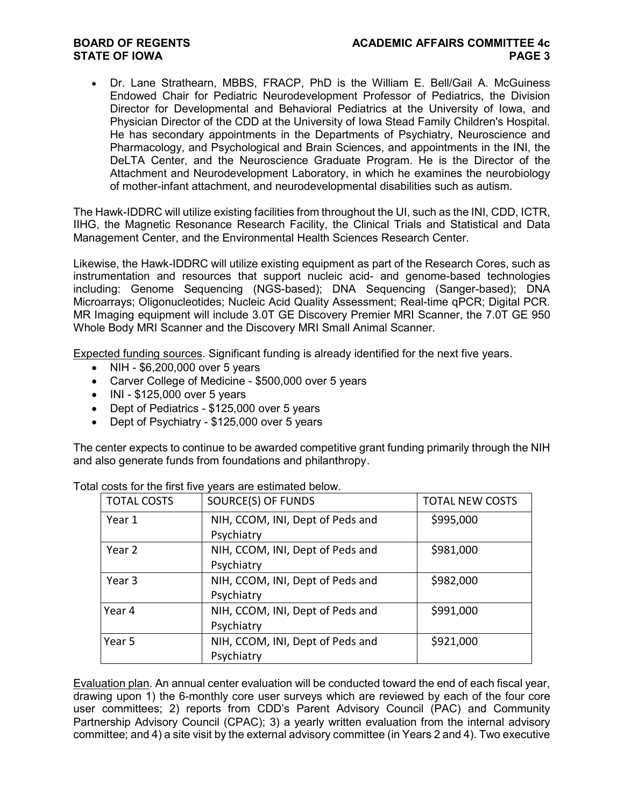# **STATE OF IOWA**

• Dr. Lane Strathearn, MBBS, FRACP, PhD is the William E. Bell/Gail A. McGuiness Endowed Chair for Pediatric Neurodevelopment Professor of Pediatrics, the Division Director for Developmental and Behavioral Pediatrics at the University of Iowa, and Physician Director of the CDD at the University of Iowa Stead Family Children's Hospital. He has secondary appointments in the Departments of Psychiatry, Neuroscience and Pharmacology, and Psychological and Brain Sciences, and appointments in the INI, the DeLTA Center, and the Neuroscience Graduate Program. He is the Director of the Attachment and Neurodevelopment Laboratory, in which he examines the neurobiology of mother-infant attachment, and neurodevelopmental disabilities such as autism.

The Hawk-IDDRC will utilize existing facilities from throughout the UI, such as the INI, CDD, ICTR, IIHG, the Magnetic Resonance Research Facility, the Clinical Trials and Statistical and Data Management Center, and the Environmental Health Sciences Research Center.

Likewise, the Hawk-IDDRC will utilize existing equipment as part of the Research Cores, such as instrumentation and resources that support nucleic acid- and genome-based technologies including: Genome Sequencing (NGS-based); DNA Sequencing (Sanger-based); DNA Microarrays; Oligonucleotides; Nucleic Acid Quality Assessment; Real-time qPCR; Digital PCR. MR Imaging equipment will include 3.0T GE Discovery Premier MRI Scanner, the 7.0T GE 950 Whole Body MRI Scanner and the Discovery MRI Small Animal Scanner.

Expected funding sources. Significant funding is already identified for the next five years.

- NIH \$6,200,000 over 5 years
- Carver College of Medicine \$500,000 over 5 years
- INI \$125,000 over 5 years
- Dept of Pediatrics \$125,000 over 5 years
- Dept of Psychiatry \$125,000 over 5 years

The center expects to continue to be awarded competitive grant funding primarily through the NIH and also generate funds from foundations and philanthropy.

| <b>TOTAL COSTS</b> | SOURCE(S) OF FUNDS               | <b>TOTAL NEW COSTS</b> |
|--------------------|----------------------------------|------------------------|
| Year 1             | NIH, CCOM, INI, Dept of Peds and | \$995,000              |
|                    | Psychiatry                       |                        |
| Year 2             | NIH, CCOM, INI, Dept of Peds and | \$981,000              |
|                    | Psychiatry                       |                        |
| Year 3             | NIH, CCOM, INI, Dept of Peds and | \$982,000              |
|                    | Psychiatry                       |                        |
| Year 4             | NIH, CCOM, INI, Dept of Peds and | \$991,000              |
|                    | Psychiatry                       |                        |
| Year 5             | NIH, CCOM, INI, Dept of Peds and | \$921,000              |
|                    | Psychiatry                       |                        |

Total costs for the first five years are estimated below.

Evaluation plan. An annual center evaluation will be conducted toward the end of each fiscal year, drawing upon 1) the 6-monthly core user surveys which are reviewed by each of the four core user committees; 2) reports from CDD's Parent Advisory Council (PAC) and Community Partnership Advisory Council (CPAC); 3) a yearly written evaluation from the internal advisory committee; and 4) a site visit by the external advisory committee (in Years 2 and 4). Two executive